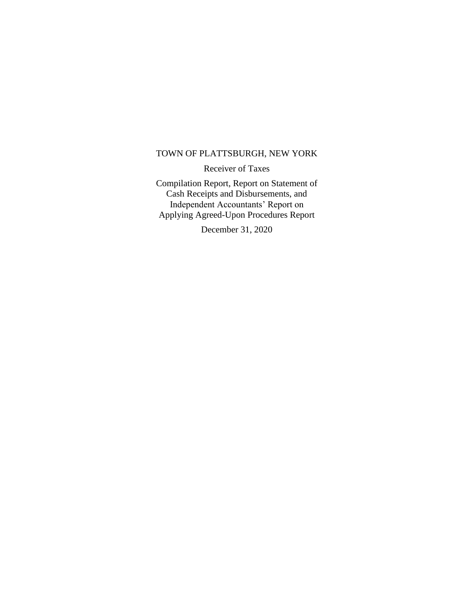#### TOWN OF PLATTSBURGH, NEW YORK

Receiver of Taxes

Compilation Report, Report on Statement of Cash Receipts and Disbursements, and Independent Accountants' Report on Applying Agreed-Upon Procedures Report

December 31, 2020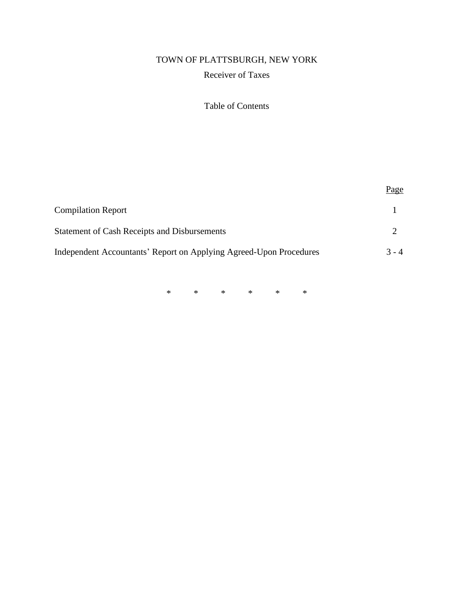# TOWN OF PLATTSBURGH, NEW YORK Receiver of Taxes

## Table of Contents

|                                                                    | Page    |
|--------------------------------------------------------------------|---------|
| <b>Compilation Report</b>                                          |         |
| <b>Statement of Cash Receipts and Disbursements</b>                |         |
| Independent Accountants' Report on Applying Agreed-Upon Procedures | $3 - 4$ |

\* \* \* \* \* \*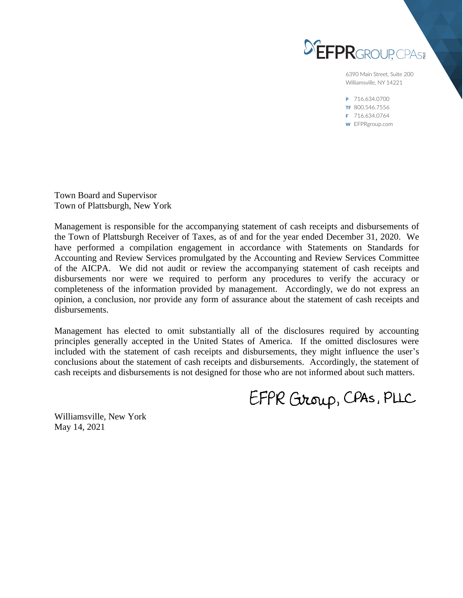

6390 Main Street, Suite 200 Williamsville, NY 14221

P 716.634.0700 TF 800.546.7556 F 716.634.0764 W EFPRgroup.com

Town Board and Supervisor Town of Plattsburgh, New York

Management is responsible for the accompanying statement of cash receipts and disbursements of the Town of Plattsburgh Receiver of Taxes, as of and for the year ended December 31, 2020. We have performed a compilation engagement in accordance with Statements on Standards for Accounting and Review Services promulgated by the Accounting and Review Services Committee of the AICPA. We did not audit or review the accompanying statement of cash receipts and disbursements nor were we required to perform any procedures to verify the accuracy or completeness of the information provided by management. Accordingly, we do not express an opinion, a conclusion, nor provide any form of assurance about the statement of cash receipts and disbursements.

Management has elected to omit substantially all of the disclosures required by accounting principles generally accepted in the United States of America. If the omitted disclosures were included with the statement of cash receipts and disbursements, they might influence the user's conclusions about the statement of cash receipts and disbursements. Accordingly, the statement of cash receipts and disbursements is not designed for those who are not informed about such matters.

EFPR Group, CPAS, PLLC

Williamsville, New York May 14, 2021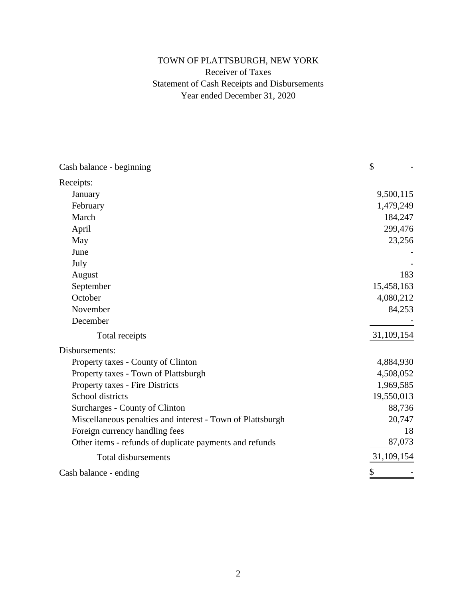## TOWN OF PLATTSBURGH, NEW YORK Receiver of Taxes Statement of Cash Receipts and Disbursements Year ended December 31, 2020

| Cash balance - beginning                                   | \$         |
|------------------------------------------------------------|------------|
| Receipts:                                                  |            |
| January                                                    | 9,500,115  |
| February                                                   | 1,479,249  |
| March                                                      | 184,247    |
| April                                                      | 299,476    |
| May                                                        | 23,256     |
| June                                                       |            |
| July                                                       |            |
| August                                                     | 183        |
| September                                                  | 15,458,163 |
| October                                                    | 4,080,212  |
| November                                                   | 84,253     |
| December                                                   |            |
| Total receipts                                             | 31,109,154 |
| Disbursements:                                             |            |
| Property taxes - County of Clinton                         | 4,884,930  |
| Property taxes - Town of Plattsburgh                       | 4,508,052  |
| Property taxes - Fire Districts                            | 1,969,585  |
| School districts                                           | 19,550,013 |
| Surcharges - County of Clinton                             | 88,736     |
| Miscellaneous penalties and interest - Town of Plattsburgh | 20,747     |
| Foreign currency handling fees                             | 18         |
| Other items - refunds of duplicate payments and refunds    | 87,073     |
| <b>Total disbursements</b>                                 | 31,109,154 |
| Cash balance - ending                                      | \$         |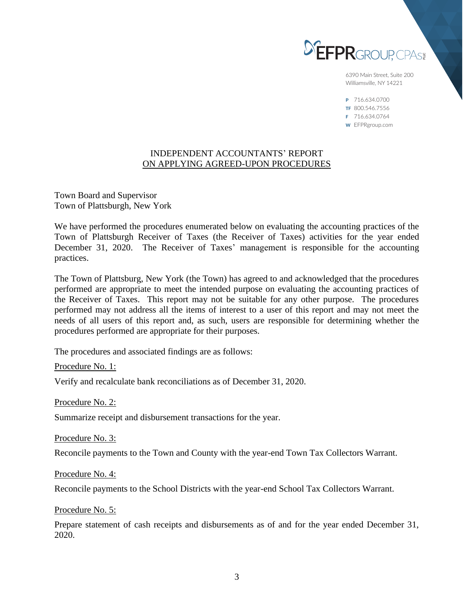

6390 Main Street, Suite 200 Williamsville, NY 14221

P 716.634.0700 TF 800.546.7556 F 716.634.0764 W EFPRgroup.com

#### INDEPENDENT ACCOUNTANTS' REPORT ON APPLYING AGREED-UPON PROCEDURES

Town Board and Supervisor Town of Plattsburgh, New York

We have performed the procedures enumerated below on evaluating the accounting practices of the Town of Plattsburgh Receiver of Taxes (the Receiver of Taxes) activities for the year ended December 31, 2020. The Receiver of Taxes' management is responsible for the accounting practices.

The Town of Plattsburg, New York (the Town) has agreed to and acknowledged that the procedures performed are appropriate to meet the intended purpose on evaluating the accounting practices of the Receiver of Taxes. This report may not be suitable for any other purpose. The procedures performed may not address all the items of interest to a user of this report and may not meet the needs of all users of this report and, as such, users are responsible for determining whether the procedures performed are appropriate for their purposes.

The procedures and associated findings are as follows:

Procedure No. 1:

Verify and recalculate bank reconciliations as of December 31, 2020.

Procedure No. 2:

Summarize receipt and disbursement transactions for the year.

Procedure No. 3:

Reconcile payments to the Town and County with the year-end Town Tax Collectors Warrant.

Procedure No. 4:

Reconcile payments to the School Districts with the year-end School Tax Collectors Warrant.

Procedure No. 5:

Prepare statement of cash receipts and disbursements as of and for the year ended December 31, 2020.